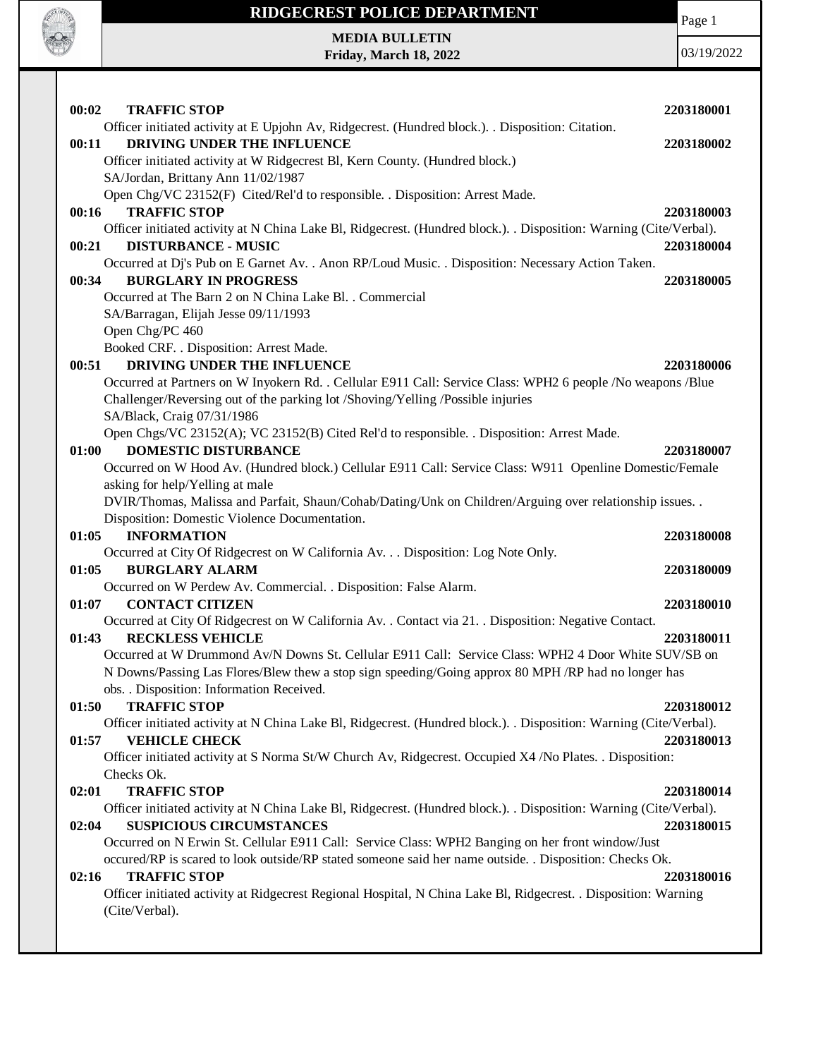

Page 1

**MEDIA BULLETIN Friday, March 18, 2022**

| <b>TRAFFIC STOP</b><br>00:02                                                                                       | 2203180001 |
|--------------------------------------------------------------------------------------------------------------------|------------|
| Officer initiated activity at E Upjohn Av, Ridgecrest. (Hundred block.). . Disposition: Citation.                  |            |
| DRIVING UNDER THE INFLUENCE<br>00:11                                                                               | 2203180002 |
| Officer initiated activity at W Ridgecrest Bl, Kern County. (Hundred block.)                                       |            |
| SA/Jordan, Brittany Ann 11/02/1987                                                                                 |            |
| Open Chg/VC 23152(F) Cited/Rel'd to responsible. . Disposition: Arrest Made.                                       |            |
| <b>TRAFFIC STOP</b><br>00:16                                                                                       | 2203180003 |
| Officer initiated activity at N China Lake Bl, Ridgecrest. (Hundred block.). . Disposition: Warning (Cite/Verbal). |            |
| <b>DISTURBANCE - MUSIC</b><br>00:21                                                                                | 2203180004 |
| Occurred at Dj's Pub on E Garnet Av. . Anon RP/Loud Music. . Disposition: Necessary Action Taken.                  |            |
| <b>BURGLARY IN PROGRESS</b><br>00:34                                                                               | 2203180005 |
| Occurred at The Barn 2 on N China Lake Bl. . Commercial                                                            |            |
| SA/Barragan, Elijah Jesse 09/11/1993                                                                               |            |
| Open Chg/PC 460                                                                                                    |            |
| Booked CRF. . Disposition: Arrest Made.                                                                            |            |
| DRIVING UNDER THE INFLUENCE<br>00:51                                                                               | 2203180006 |
| Occurred at Partners on W Inyokern Rd. . Cellular E911 Call: Service Class: WPH2 6 people /No weapons /Blue        |            |
| Challenger/Reversing out of the parking lot /Shoving/Yelling /Possible injuries                                    |            |
| SA/Black, Craig 07/31/1986                                                                                         |            |
| Open Chgs/VC 23152(A); VC 23152(B) Cited Rel'd to responsible. . Disposition: Arrest Made.                         |            |
| <b>DOMESTIC DISTURBANCE</b><br>01:00                                                                               | 2203180007 |
| Occurred on W Hood Av. (Hundred block.) Cellular E911 Call: Service Class: W911 Openline Domestic/Female           |            |
| asking for help/Yelling at male                                                                                    |            |
| DVIR/Thomas, Malissa and Parfait, Shaun/Cohab/Dating/Unk on Children/Arguing over relationship issues. .           |            |
| Disposition: Domestic Violence Documentation.<br><b>INFORMATION</b>                                                |            |
| 01:05                                                                                                              | 2203180008 |
| Occurred at City Of Ridgecrest on W California Av. Disposition: Log Note Only.<br><b>BURGLARY ALARM</b><br>01:05   |            |
|                                                                                                                    | 2203180009 |
| Occurred on W Perdew Av. Commercial. . Disposition: False Alarm.<br><b>CONTACT CITIZEN</b><br>01:07                | 2203180010 |
| Occurred at City Of Ridgecrest on W California Av. . Contact via 21. . Disposition: Negative Contact.              |            |
| <b>RECKLESS VEHICLE</b><br>01:43                                                                                   | 2203180011 |
| Occurred at W Drummond Av/N Downs St. Cellular E911 Call: Service Class: WPH2 4 Door White SUV/SB on               |            |
| N Downs/Passing Las Flores/Blew thew a stop sign speeding/Going approx 80 MPH/RP had no longer has                 |            |
| obs. . Disposition: Information Received.                                                                          |            |
| <b>TRAFFIC STOP</b><br>01:50                                                                                       | 2203180012 |
| Officer initiated activity at N China Lake Bl, Ridgecrest. (Hundred block.). . Disposition: Warning (Cite/Verbal). |            |
| <b>VEHICLE CHECK</b><br>01:57                                                                                      | 2203180013 |
| Officer initiated activity at S Norma St/W Church Av, Ridgecrest. Occupied X4 /No Plates. . Disposition:           |            |
| Checks Ok.                                                                                                         |            |
| <b>TRAFFIC STOP</b><br>02:01                                                                                       | 2203180014 |
| Officer initiated activity at N China Lake Bl, Ridgecrest. (Hundred block.). Disposition: Warning (Cite/Verbal).   |            |
| 02:04<br><b>SUSPICIOUS CIRCUMSTANCES</b>                                                                           | 2203180015 |
| Occurred on N Erwin St. Cellular E911 Call: Service Class: WPH2 Banging on her front window/Just                   |            |
| occured/RP is scared to look outside/RP stated someone said her name outside. . Disposition: Checks Ok.            |            |
| 02:16<br><b>TRAFFIC STOP</b>                                                                                       | 2203180016 |
| Officer initiated activity at Ridgecrest Regional Hospital, N China Lake Bl, Ridgecrest. . Disposition: Warning    |            |
| (Cite/Verbal).                                                                                                     |            |
|                                                                                                                    |            |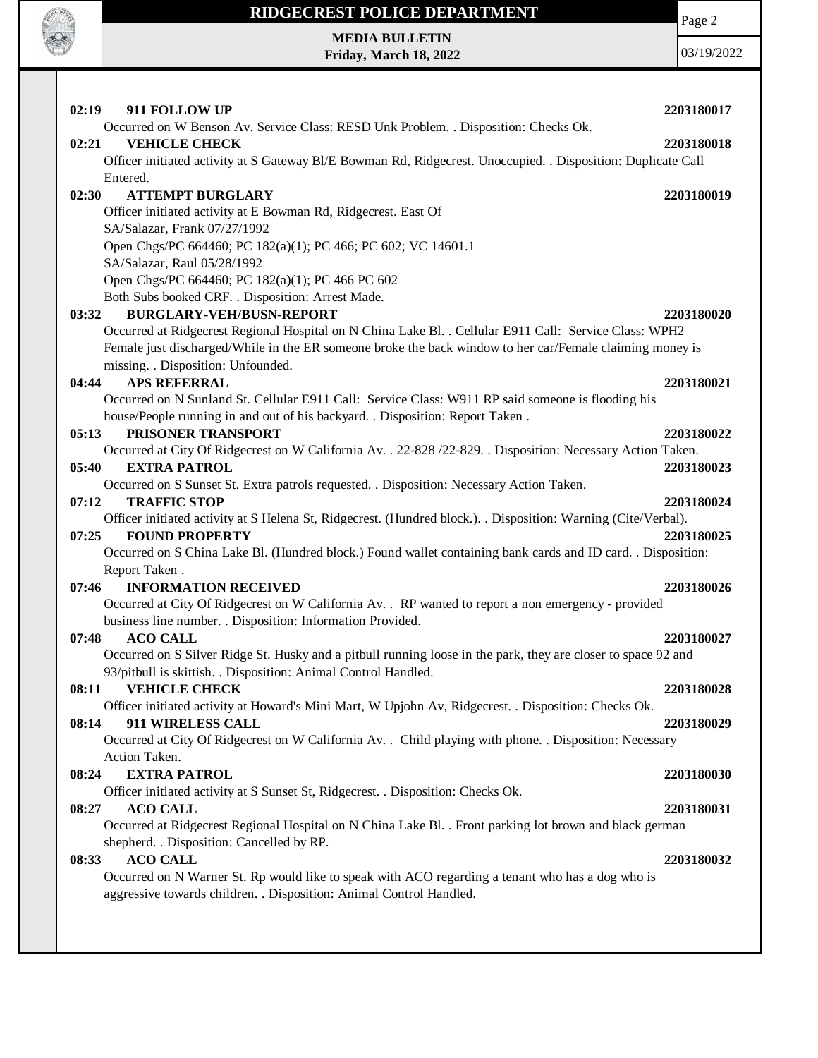

## **RIDGECREST POLICE DEPARTMENT MEDIA BULLETIN**

**Friday, March 18, 2022**

Page 2

| 02:19<br>911 FOLLOW UP                                                                                          | 2203180017 |
|-----------------------------------------------------------------------------------------------------------------|------------|
| Occurred on W Benson Av. Service Class: RESD Unk Problem. . Disposition: Checks Ok.                             |            |
| <b>VEHICLE CHECK</b><br>02:21                                                                                   | 2203180018 |
| Officer initiated activity at S Gateway Bl/E Bowman Rd, Ridgecrest. Unoccupied. . Disposition: Duplicate Call   |            |
| Entered.                                                                                                        |            |
| <b>ATTEMPT BURGLARY</b><br>02:30                                                                                | 2203180019 |
| Officer initiated activity at E Bowman Rd, Ridgecrest. East Of                                                  |            |
| SA/Salazar, Frank 07/27/1992                                                                                    |            |
| Open Chgs/PC 664460; PC 182(a)(1); PC 466; PC 602; VC 14601.1                                                   |            |
| SA/Salazar, Raul 05/28/1992                                                                                     |            |
| Open Chgs/PC 664460; PC 182(a)(1); PC 466 PC 602                                                                |            |
| Both Subs booked CRF. . Disposition: Arrest Made.<br><b>BURGLARY-VEH/BUSN-REPORT</b>                            |            |
| 03:32<br>Occurred at Ridgecrest Regional Hospital on N China Lake Bl. . Cellular E911 Call: Service Class: WPH2 | 2203180020 |
| Female just discharged/While in the ER someone broke the back window to her car/Female claiming money is        |            |
| missing. . Disposition: Unfounded.                                                                              |            |
| <b>APS REFERRAL</b><br>04:44                                                                                    | 2203180021 |
| Occurred on N Sunland St. Cellular E911 Call: Service Class: W911 RP said someone is flooding his               |            |
| house/People running in and out of his backyard. . Disposition: Report Taken.                                   |            |
| PRISONER TRANSPORT<br>05:13                                                                                     | 2203180022 |
| Occurred at City Of Ridgecrest on W California Av. . 22-828 /22-829. . Disposition: Necessary Action Taken.     |            |
| 05:40<br><b>EXTRA PATROL</b>                                                                                    | 2203180023 |
| Occurred on S Sunset St. Extra patrols requested. . Disposition: Necessary Action Taken.                        |            |
| 07:12<br><b>TRAFFIC STOP</b>                                                                                    | 2203180024 |
| Officer initiated activity at S Helena St, Ridgecrest. (Hundred block.). Disposition: Warning (Cite/Verbal).    |            |
| <b>FOUND PROPERTY</b><br>07:25                                                                                  | 2203180025 |
| Occurred on S China Lake Bl. (Hundred block.) Found wallet containing bank cards and ID card. . Disposition:    |            |
| Report Taken.                                                                                                   |            |
| 07:46<br><b>INFORMATION RECEIVED</b>                                                                            | 2203180026 |
| Occurred at City Of Ridgecrest on W California Av. . RP wanted to report a non emergency - provided             |            |
| business line number. . Disposition: Information Provided.                                                      |            |
| <b>ACO CALL</b><br>07:48                                                                                        | 2203180027 |
| Occurred on S Silver Ridge St. Husky and a pitbull running loose in the park, they are closer to space 92 and   |            |
| 93/pitbull is skittish. . Disposition: Animal Control Handled.                                                  |            |
| <b>VEHICLE CHECK</b><br>08:11                                                                                   | 2203180028 |
| Officer initiated activity at Howard's Mini Mart, W Upjohn Av, Ridgecrest. . Disposition: Checks Ok.            |            |
| 08:14<br>911 WIRELESS CALL                                                                                      | 2203180029 |
| Occurred at City Of Ridgecrest on W California Av. . Child playing with phone. . Disposition: Necessary         |            |
| Action Taken.                                                                                                   |            |
| 08:24<br><b>EXTRA PATROL</b>                                                                                    | 2203180030 |
| Officer initiated activity at S Sunset St, Ridgecrest. . Disposition: Checks Ok.                                |            |
| <b>ACO CALL</b><br>08:27                                                                                        | 2203180031 |
| Occurred at Ridgecrest Regional Hospital on N China Lake Bl. . Front parking lot brown and black german         |            |
| shepherd. . Disposition: Cancelled by RP.                                                                       |            |
| <b>ACO CALL</b><br>08:33                                                                                        | 2203180032 |
| Occurred on N Warner St. Rp would like to speak with ACO regarding a tenant who has a dog who is                |            |
| aggressive towards children. . Disposition: Animal Control Handled.                                             |            |
|                                                                                                                 |            |
|                                                                                                                 |            |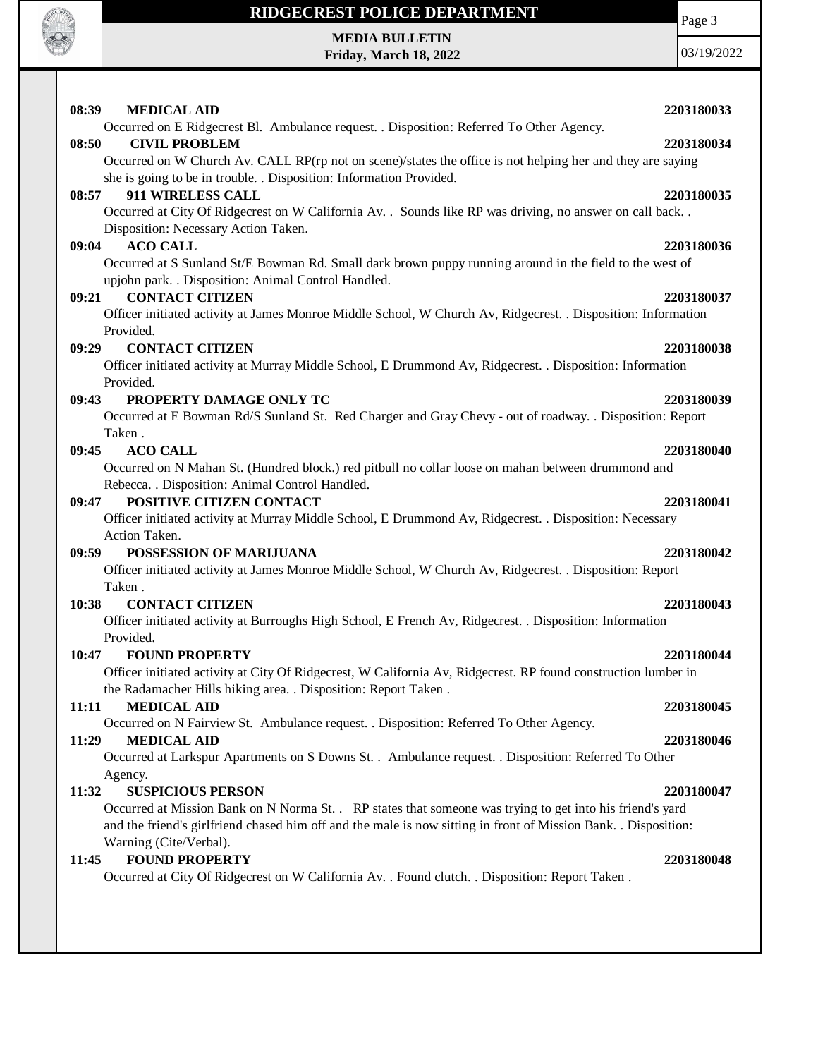

**MEDIA BULLETIN Friday, March 18, 2022** Page 3

| 08:39<br><b>MEDICAL AID</b><br>2203180033                                                                                                         |  |
|---------------------------------------------------------------------------------------------------------------------------------------------------|--|
| Occurred on E Ridgecrest Bl. Ambulance request. . Disposition: Referred To Other Agency.                                                          |  |
| 08:50<br><b>CIVIL PROBLEM</b><br>2203180034                                                                                                       |  |
| Occurred on W Church Av. CALL RP(rp not on scene)/states the office is not helping her and they are saying                                        |  |
| she is going to be in trouble. . Disposition: Information Provided.                                                                               |  |
| 911 WIRELESS CALL<br>08:57<br>2203180035                                                                                                          |  |
| Occurred at City Of Ridgecrest on W California Av. . Sounds like RP was driving, no answer on call back                                           |  |
| Disposition: Necessary Action Taken.                                                                                                              |  |
| <b>ACO CALL</b><br>09:04<br>2203180036<br>Occurred at S Sunland St/E Bowman Rd. Small dark brown puppy running around in the field to the west of |  |
| upjohn park. . Disposition: Animal Control Handled.                                                                                               |  |
| <b>CONTACT CITIZEN</b><br>09:21<br>2203180037                                                                                                     |  |
| Officer initiated activity at James Monroe Middle School, W Church Av, Ridgecrest. . Disposition: Information                                     |  |
| Provided.                                                                                                                                         |  |
| <b>CONTACT CITIZEN</b><br>09:29<br>2203180038                                                                                                     |  |
| Officer initiated activity at Murray Middle School, E Drummond Av, Ridgecrest. . Disposition: Information                                         |  |
| Provided.                                                                                                                                         |  |
| 09:43<br>PROPERTY DAMAGE ONLY TC<br>2203180039                                                                                                    |  |
| Occurred at E Bowman Rd/S Sunland St. Red Charger and Gray Chevy - out of roadway. . Disposition: Report                                          |  |
| Taken.                                                                                                                                            |  |
| <b>ACO CALL</b><br>09:45<br>2203180040                                                                                                            |  |
| Occurred on N Mahan St. (Hundred block.) red pitbull no collar loose on mahan between drummond and                                                |  |
| Rebecca. . Disposition: Animal Control Handled.                                                                                                   |  |
| POSITIVE CITIZEN CONTACT<br>09:47<br>2203180041                                                                                                   |  |
| Officer initiated activity at Murray Middle School, E Drummond Av, Ridgecrest. . Disposition: Necessary<br>Action Taken.                          |  |
| POSSESSION OF MARIJUANA<br>09:59<br>2203180042                                                                                                    |  |
| Officer initiated activity at James Monroe Middle School, W Church Av, Ridgecrest. . Disposition: Report                                          |  |
| Taken.                                                                                                                                            |  |
| <b>CONTACT CITIZEN</b><br>10:38<br>2203180043                                                                                                     |  |
| Officer initiated activity at Burroughs High School, E French Av, Ridgecrest. . Disposition: Information                                          |  |
| Provided.                                                                                                                                         |  |
| 10:47<br><b>FOUND PROPERTY</b><br>2203180044                                                                                                      |  |
| Officer initiated activity at City Of Ridgecrest, W California Av, Ridgecrest. RP found construction lumber in                                    |  |
| the Radamacher Hills hiking area. . Disposition: Report Taken.                                                                                    |  |
| <b>MEDICAL AID</b><br>11:11<br>2203180045                                                                                                         |  |
| Occurred on N Fairview St. Ambulance request. . Disposition: Referred To Other Agency.                                                            |  |
| 11:29<br><b>MEDICAL AID</b><br>2203180046                                                                                                         |  |
| Occurred at Larkspur Apartments on S Downs St. . Ambulance request. . Disposition: Referred To Other                                              |  |
| Agency.                                                                                                                                           |  |
| 11:32<br><b>SUSPICIOUS PERSON</b><br>2203180047                                                                                                   |  |
| Occurred at Mission Bank on N Norma St. . RP states that someone was trying to get into his friend's yard                                         |  |
| and the friend's girlfriend chased him off and the male is now sitting in front of Mission Bank. . Disposition:<br>Warning (Cite/Verbal).         |  |
| <b>FOUND PROPERTY</b><br>2203180048<br>11:45                                                                                                      |  |
| Occurred at City Of Ridgecrest on W California Av. . Found clutch. . Disposition: Report Taken.                                                   |  |
|                                                                                                                                                   |  |
|                                                                                                                                                   |  |
|                                                                                                                                                   |  |
|                                                                                                                                                   |  |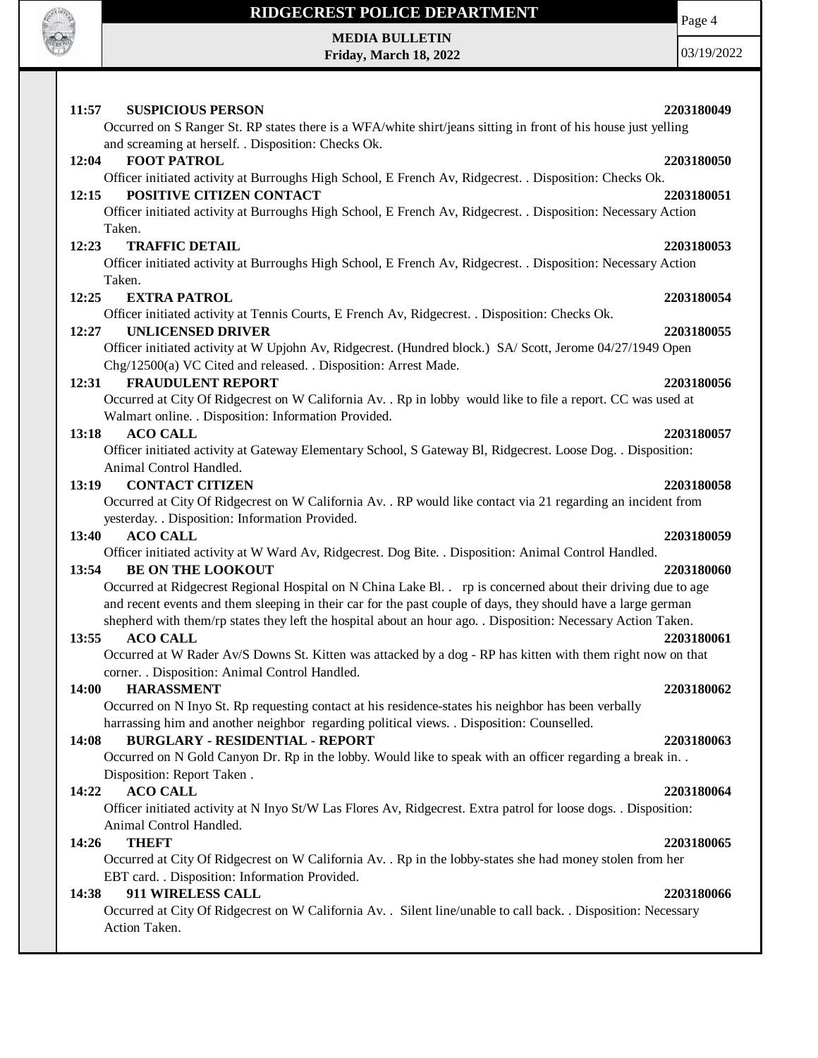

**MEDIA BULLETIN Friday, March 18, 2022** Page 4

| 2203180049<br>11:57<br><b>SUSPICIOUS PERSON</b><br>Occurred on S Ranger St. RP states there is a WFA/white shirt/jeans sitting in front of his house just yelling<br>and screaming at herself. . Disposition: Checks Ok.       |
|--------------------------------------------------------------------------------------------------------------------------------------------------------------------------------------------------------------------------------|
| 12:04<br><b>FOOT PATROL</b><br>2203180050                                                                                                                                                                                      |
| Officer initiated activity at Burroughs High School, E French Av, Ridgecrest. . Disposition: Checks Ok.                                                                                                                        |
| 12:15<br>POSITIVE CITIZEN CONTACT<br>2203180051                                                                                                                                                                                |
| Officer initiated activity at Burroughs High School, E French Av, Ridgecrest. . Disposition: Necessary Action                                                                                                                  |
| Taken.                                                                                                                                                                                                                         |
| 12:23<br><b>TRAFFIC DETAIL</b><br>2203180053                                                                                                                                                                                   |
| Officer initiated activity at Burroughs High School, E French Av, Ridgecrest. . Disposition: Necessary Action<br>Taken.                                                                                                        |
| 12:25<br><b>EXTRA PATROL</b><br>2203180054                                                                                                                                                                                     |
| Officer initiated activity at Tennis Courts, E French Av, Ridgecrest. . Disposition: Checks Ok.                                                                                                                                |
| <b>UNLICENSED DRIVER</b><br>12:27<br>2203180055                                                                                                                                                                                |
| Officer initiated activity at W Upjohn Av, Ridgecrest. (Hundred block.) SA/ Scott, Jerome 04/27/1949 Open                                                                                                                      |
| Chg/12500(a) VC Cited and released. . Disposition: Arrest Made.                                                                                                                                                                |
| 12:31<br><b>FRAUDULENT REPORT</b><br>2203180056                                                                                                                                                                                |
| Occurred at City Of Ridgecrest on W California Av. . Rp in lobby would like to file a report. CC was used at                                                                                                                   |
| Walmart online. . Disposition: Information Provided.                                                                                                                                                                           |
| <b>ACO CALL</b><br>13:18<br>2203180057                                                                                                                                                                                         |
| Officer initiated activity at Gateway Elementary School, S Gateway Bl, Ridgecrest. Loose Dog. . Disposition:<br>Animal Control Handled.                                                                                        |
| <b>CONTACT CITIZEN</b><br>13:19<br>2203180058                                                                                                                                                                                  |
| Occurred at City Of Ridgecrest on W California Av. . RP would like contact via 21 regarding an incident from                                                                                                                   |
| yesterday. . Disposition: Information Provided.                                                                                                                                                                                |
| <b>ACO CALL</b><br>13:40<br>2203180059                                                                                                                                                                                         |
| Officer initiated activity at W Ward Av, Ridgecrest. Dog Bite. . Disposition: Animal Control Handled.                                                                                                                          |
| <b>BE ON THE LOOKOUT</b><br>13:54<br>2203180060                                                                                                                                                                                |
| Occurred at Ridgecrest Regional Hospital on N China Lake Bl. rp is concerned about their driving due to age                                                                                                                    |
| and recent events and them sleeping in their car for the past couple of days, they should have a large german<br>shepherd with them/rp states they left the hospital about an hour ago. . Disposition: Necessary Action Taken. |
| <b>ACO CALL</b><br>13:55<br>2203180061                                                                                                                                                                                         |
| Occurred at W Rader Av/S Downs St. Kitten was attacked by a dog - RP has kitten with them right now on that                                                                                                                    |
| corner. . Disposition: Animal Control Handled.                                                                                                                                                                                 |
| 14:00<br><b>HARASSMENT</b><br>2203180062                                                                                                                                                                                       |
| Occurred on N Inyo St. Rp requesting contact at his residence-states his neighbor has been verbally                                                                                                                            |
| harrassing him and another neighbor regarding political views. . Disposition: Counselled.                                                                                                                                      |
| <b>BURGLARY - RESIDENTIAL - REPORT</b><br>14:08<br>2203180063                                                                                                                                                                  |
| Occurred on N Gold Canyon Dr. Rp in the lobby. Would like to speak with an officer regarding a break in                                                                                                                        |
| Disposition: Report Taken.<br>14:22<br><b>ACO CALL</b><br>2203180064                                                                                                                                                           |
| Officer initiated activity at N Inyo St/W Las Flores Av, Ridgecrest. Extra patrol for loose dogs. . Disposition:                                                                                                               |
| Animal Control Handled.                                                                                                                                                                                                        |
| <b>THEFT</b><br>14:26<br>2203180065                                                                                                                                                                                            |
| Occurred at City Of Ridgecrest on W California Av. . Rp in the lobby-states she had money stolen from her                                                                                                                      |
| EBT card. . Disposition: Information Provided.                                                                                                                                                                                 |
| 911 WIRELESS CALL<br>14:38<br>2203180066                                                                                                                                                                                       |
| Occurred at City Of Ridgecrest on W California Av. . Silent line/unable to call back. . Disposition: Necessary                                                                                                                 |
| Action Taken.                                                                                                                                                                                                                  |
|                                                                                                                                                                                                                                |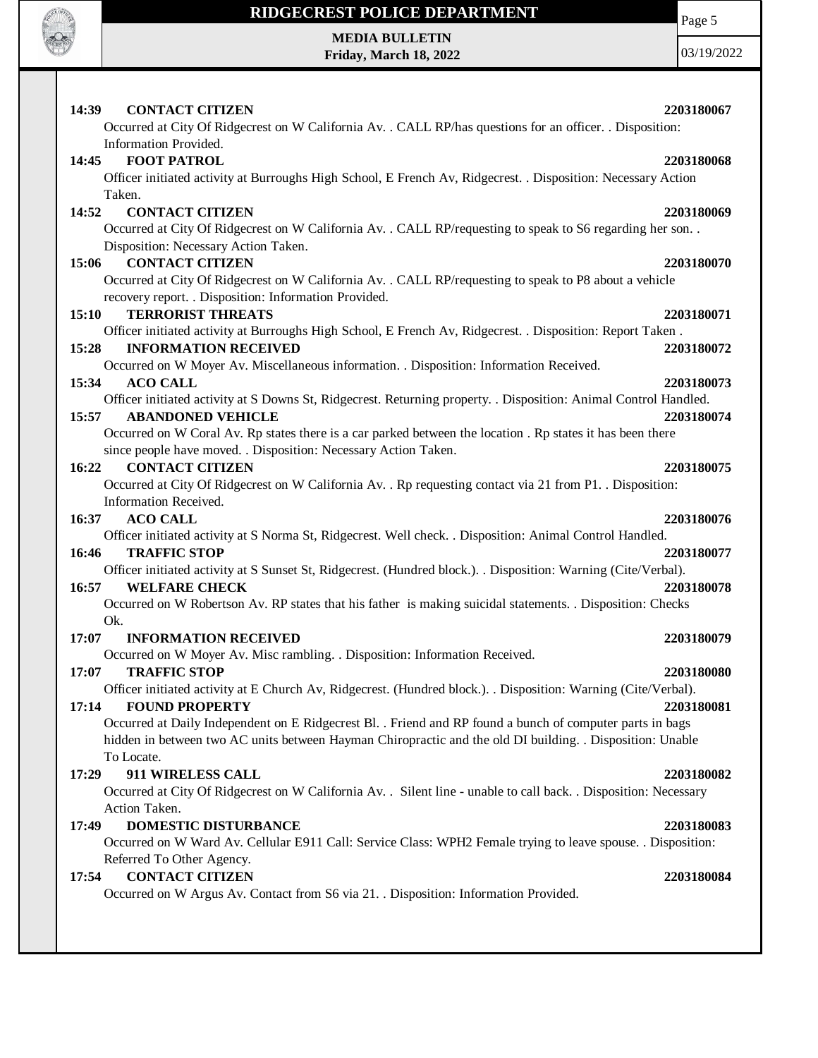

Page 5

**MEDIA BULLETIN Friday, March 18, 2022**

| 14:39<br><b>CONTACT CITIZEN</b><br>Occurred at City Of Ridgecrest on W California Av. . CALL RP/has questions for an officer. . Disposition:<br>Information Provided.                                                                                                                                                                                                      | 2203180067               |
|----------------------------------------------------------------------------------------------------------------------------------------------------------------------------------------------------------------------------------------------------------------------------------------------------------------------------------------------------------------------------|--------------------------|
| <b>FOOT PATROL</b><br>14:45<br>Officer initiated activity at Burroughs High School, E French Av, Ridgecrest. . Disposition: Necessary Action<br>Taken.                                                                                                                                                                                                                     | 2203180068               |
| <b>CONTACT CITIZEN</b><br>14:52<br>Occurred at City Of Ridgecrest on W California Av. . CALL RP/requesting to speak to S6 regarding her son. .<br>Disposition: Necessary Action Taken.                                                                                                                                                                                     | 2203180069               |
| <b>CONTACT CITIZEN</b><br>15:06<br>Occurred at City Of Ridgecrest on W California Av. . CALL RP/requesting to speak to P8 about a vehicle<br>recovery report. . Disposition: Information Provided.                                                                                                                                                                         | 2203180070               |
| <b>TERRORIST THREATS</b><br>15:10<br>Officer initiated activity at Burroughs High School, E French Av, Ridgecrest. . Disposition: Report Taken.                                                                                                                                                                                                                            | 2203180071               |
| <b>INFORMATION RECEIVED</b><br>15:28<br>Occurred on W Moyer Av. Miscellaneous information. . Disposition: Information Received.<br><b>ACO CALL</b><br>15:34                                                                                                                                                                                                                | 2203180072<br>2203180073 |
| Officer initiated activity at S Downs St, Ridgecrest. Returning property. . Disposition: Animal Control Handled.<br><b>ABANDONED VEHICLE</b><br>15:57<br>Occurred on W Coral Av. Rp states there is a car parked between the location. Rp states it has been there                                                                                                         | 2203180074               |
| since people have moved. . Disposition: Necessary Action Taken.<br><b>CONTACT CITIZEN</b><br>16:22<br>Occurred at City Of Ridgecrest on W California Av. . Rp requesting contact via 21 from P1. . Disposition:                                                                                                                                                            | 2203180075               |
| Information Received.<br><b>ACO CALL</b><br>16:37<br>Officer initiated activity at S Norma St, Ridgecrest. Well check. . Disposition: Animal Control Handled.                                                                                                                                                                                                              | 2203180076               |
| <b>TRAFFIC STOP</b><br>16:46<br>Officer initiated activity at S Sunset St, Ridgecrest. (Hundred block.). Disposition: Warning (Cite/Verbal).<br>16:57<br><b>WELFARE CHECK</b>                                                                                                                                                                                              | 2203180077<br>2203180078 |
| Occurred on W Robertson Av. RP states that his father is making suicidal statements. . Disposition: Checks<br>Ok.<br>17:07<br><b>INFORMATION RECEIVED</b>                                                                                                                                                                                                                  | 2203180079               |
| Occurred on W Moyer Av. Misc rambling. . Disposition: Information Received.<br>17:07<br><b>TRAFFIC STOP</b>                                                                                                                                                                                                                                                                | 2203180080               |
| Officer initiated activity at E Church Av, Ridgecrest. (Hundred block.). . Disposition: Warning (Cite/Verbal).<br>17:14<br><b>FOUND PROPERTY</b><br>Occurred at Daily Independent on E Ridgecrest Bl. . Friend and RP found a bunch of computer parts in bags<br>hidden in between two AC units between Hayman Chiropractic and the old DI building. . Disposition: Unable | 2203180081               |
| To Locate.<br>911 WIRELESS CALL<br>17:29<br>Occurred at City Of Ridgecrest on W California Av. . Silent line - unable to call back. . Disposition: Necessary                                                                                                                                                                                                               | 2203180082               |
| Action Taken.<br>DOMESTIC DISTURBANCE<br>17:49<br>Occurred on W Ward Av. Cellular E911 Call: Service Class: WPH2 Female trying to leave spouse. . Disposition:                                                                                                                                                                                                             | 2203180083               |
| Referred To Other Agency.<br><b>CONTACT CITIZEN</b><br>17:54<br>Occurred on W Argus Av. Contact from S6 via 21. . Disposition: Information Provided.                                                                                                                                                                                                                       | 2203180084               |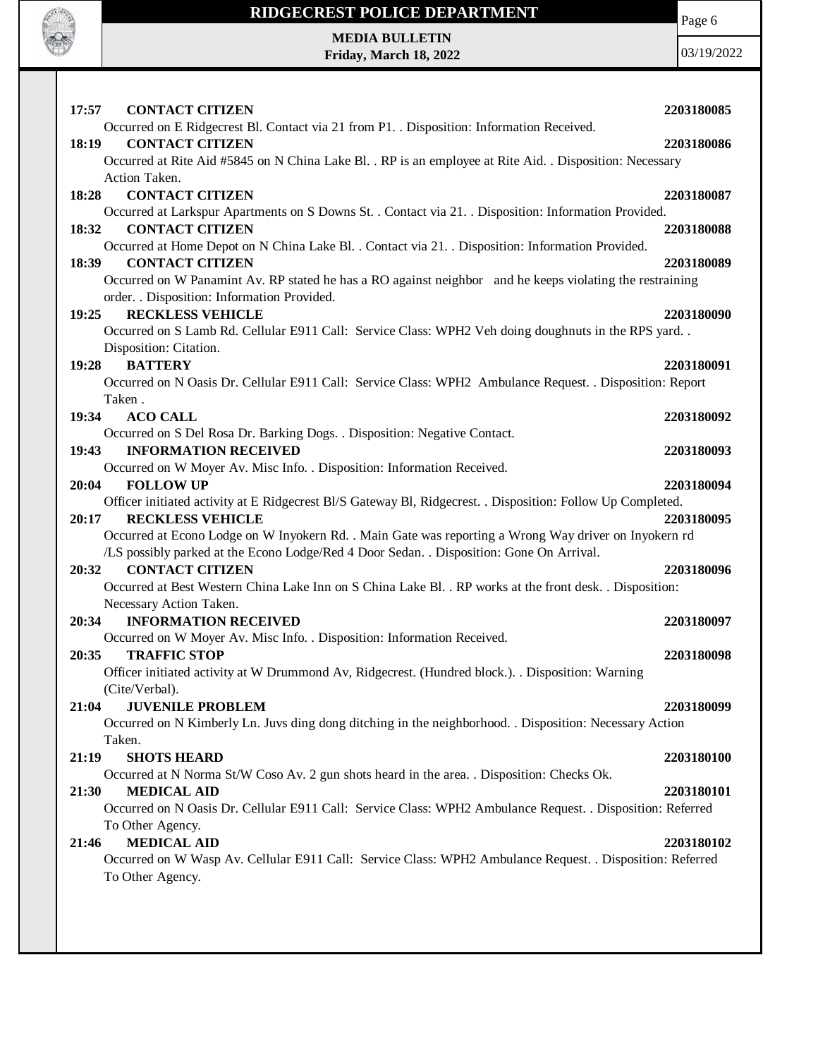

**MEDIA BULLETIN Friday, March 18, 2022** Page 6

| <b>CONTACT CITIZEN</b><br>17:57                                                                             | 2203180085 |
|-------------------------------------------------------------------------------------------------------------|------------|
| Occurred on E Ridgecrest Bl. Contact via 21 from P1. . Disposition: Information Received.                   |            |
| <b>CONTACT CITIZEN</b><br>18:19                                                                             | 2203180086 |
| Occurred at Rite Aid #5845 on N China Lake Bl. . RP is an employee at Rite Aid. . Disposition: Necessary    |            |
| Action Taken.                                                                                               |            |
| <b>CONTACT CITIZEN</b><br>18:28                                                                             | 2203180087 |
| Occurred at Larkspur Apartments on S Downs St. . Contact via 21. . Disposition: Information Provided.       |            |
| <b>CONTACT CITIZEN</b><br>18:32                                                                             | 2203180088 |
| Occurred at Home Depot on N China Lake Bl. . Contact via 21. . Disposition: Information Provided.           |            |
| <b>CONTACT CITIZEN</b><br>18:39                                                                             | 2203180089 |
| Occurred on W Panamint Av. RP stated he has a RO against neighbor and he keeps violating the restraining    |            |
| order. . Disposition: Information Provided.                                                                 |            |
| <b>RECKLESS VEHICLE</b><br>19:25                                                                            | 2203180090 |
| Occurred on S Lamb Rd. Cellular E911 Call: Service Class: WPH2 Veh doing doughnuts in the RPS yard          |            |
| Disposition: Citation.                                                                                      |            |
| <b>BATTERY</b><br>19:28                                                                                     | 2203180091 |
| Occurred on N Oasis Dr. Cellular E911 Call: Service Class: WPH2 Ambulance Request. . Disposition: Report    |            |
| Taken.                                                                                                      |            |
| <b>ACO CALL</b><br>19:34                                                                                    | 2203180092 |
| Occurred on S Del Rosa Dr. Barking Dogs. . Disposition: Negative Contact.                                   |            |
| 19:43<br><b>INFORMATION RECEIVED</b>                                                                        | 2203180093 |
| Occurred on W Moyer Av. Misc Info. . Disposition: Information Received.                                     |            |
| <b>FOLLOW UP</b><br>20:04                                                                                   | 2203180094 |
| Officer initiated activity at E Ridgecrest Bl/S Gateway Bl, Ridgecrest. . Disposition: Follow Up Completed. |            |
| <b>RECKLESS VEHICLE</b><br>20:17                                                                            | 2203180095 |
| Occurred at Econo Lodge on W Inyokern Rd. . Main Gate was reporting a Wrong Way driver on Inyokern rd       |            |
| /LS possibly parked at the Econo Lodge/Red 4 Door Sedan. . Disposition: Gone On Arrival.                    |            |
| <b>CONTACT CITIZEN</b><br>20:32                                                                             | 2203180096 |
| Occurred at Best Western China Lake Inn on S China Lake Bl. . RP works at the front desk. . Disposition:    |            |
| Necessary Action Taken.                                                                                     |            |
| <b>INFORMATION RECEIVED</b><br>20:34                                                                        | 2203180097 |
| Occurred on W Moyer Av. Misc Info. . Disposition: Information Received.                                     |            |
| <b>TRAFFIC STOP</b><br>20:35                                                                                | 2203180098 |
| Officer initiated activity at W Drummond Av, Ridgecrest. (Hundred block.). . Disposition: Warning           |            |
| (Cite/Verbal).                                                                                              |            |
| <b>JUVENILE PROBLEM</b><br>21:04                                                                            | 2203180099 |
| Occurred on N Kimberly Ln. Juvs ding dong ditching in the neighborhood. . Disposition: Necessary Action     |            |
| Taken.                                                                                                      |            |
| 21:19<br><b>SHOTS HEARD</b>                                                                                 | 2203180100 |
| Occurred at N Norma St/W Coso Av. 2 gun shots heard in the area. . Disposition: Checks Ok.                  |            |
| 21:30<br><b>MEDICAL AID</b>                                                                                 | 2203180101 |
| Occurred on N Oasis Dr. Cellular E911 Call: Service Class: WPH2 Ambulance Request. . Disposition: Referred  |            |
|                                                                                                             |            |
| To Other Agency.<br><b>MEDICAL AID</b><br>21:46                                                             | 2203180102 |
| Occurred on W Wasp Av. Cellular E911 Call: Service Class: WPH2 Ambulance Request. . Disposition: Referred   |            |
| To Other Agency.                                                                                            |            |
|                                                                                                             |            |
|                                                                                                             |            |
|                                                                                                             |            |